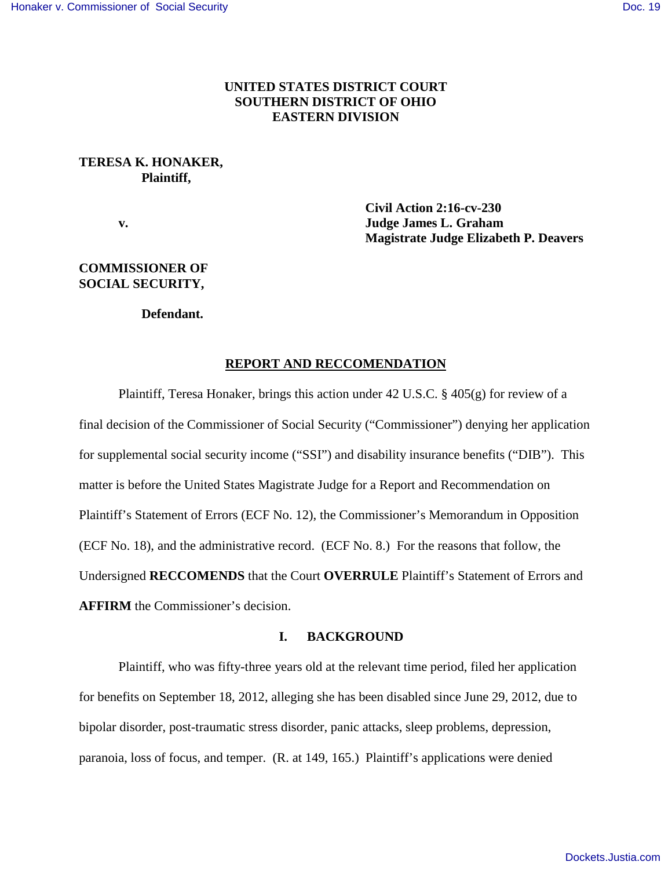# **UNITED STATES DISTRICT COURT SOUTHERN DISTRICT OF OHIO EASTERN DIVISION**

## **TERESA K. HONAKER, Plaintiff,**

**Civil Action 2:16-cv-230 v. Judge James L. Graham Magistrate Judge Elizabeth P. Deavers**

# **COMMISSIONER OF SOCIAL SECURITY,**

 **Defendant.**

## **REPORT AND RECCOMENDATION**

Plaintiff, Teresa Honaker, brings this action under 42 U.S.C. § 405(g) for review of a final decision of the Commissioner of Social Security ("Commissioner") denying her application for supplemental social security income ("SSI") and disability insurance benefits ("DIB"). This matter is before the United States Magistrate Judge for a Report and Recommendation on Plaintiff's Statement of Errors (ECF No. 12), the Commissioner's Memorandum in Opposition (ECF No. 18), and the administrative record. (ECF No. 8.) For the reasons that follow, the Undersigned **RECCOMENDS** that the Court **OVERRULE** Plaintiff's Statement of Errors and **AFFIRM** the Commissioner's decision.

### **I. BACKGROUND**

Plaintiff, who was fifty-three years old at the relevant time period, filed her application for benefits on September 18, 2012, alleging she has been disabled since June 29, 2012, due to bipolar disorder, post-traumatic stress disorder, panic attacks, sleep problems, depression, paranoia, loss of focus, and temper. (R. at 149, 165.) Plaintiff's applications were denied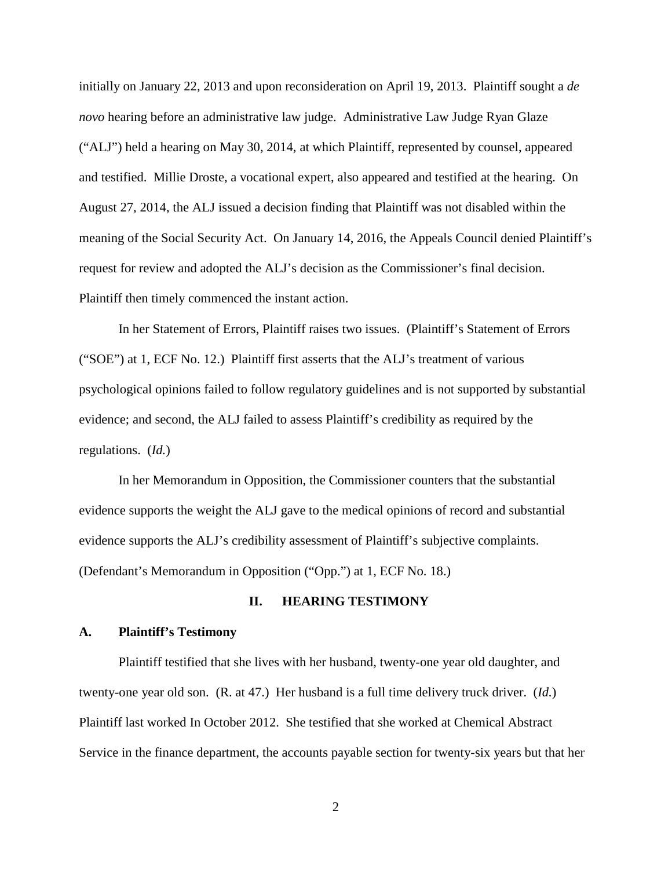initially on January 22, 2013 and upon reconsideration on April 19, 2013. Plaintiff sought a *de novo* hearing before an administrative law judge. Administrative Law Judge Ryan Glaze ("ALJ") held a hearing on May 30, 2014, at which Plaintiff, represented by counsel, appeared and testified. Millie Droste, a vocational expert, also appeared and testified at the hearing. On August 27, 2014, the ALJ issued a decision finding that Plaintiff was not disabled within the meaning of the Social Security Act. On January 14, 2016, the Appeals Council denied Plaintiff's request for review and adopted the ALJ's decision as the Commissioner's final decision. Plaintiff then timely commenced the instant action.

In her Statement of Errors, Plaintiff raises two issues. (Plaintiff's Statement of Errors ("SOE") at 1, ECF No. 12.) Plaintiff first asserts that the ALJ's treatment of various psychological opinions failed to follow regulatory guidelines and is not supported by substantial evidence; and second, the ALJ failed to assess Plaintiff's credibility as required by the regulations. (*Id.*)

In her Memorandum in Opposition, the Commissioner counters that the substantial evidence supports the weight the ALJ gave to the medical opinions of record and substantial evidence supports the ALJ's credibility assessment of Plaintiff's subjective complaints. (Defendant's Memorandum in Opposition ("Opp.") at 1, ECF No. 18.)

## **II. HEARING TESTIMONY**

### **A. Plaintiff's Testimony**

Plaintiff testified that she lives with her husband, twenty-one year old daughter, and twenty-one year old son. (R. at 47.) Her husband is a full time delivery truck driver. (*Id.*) Plaintiff last worked In October 2012. She testified that she worked at Chemical Abstract Service in the finance department, the accounts payable section for twenty-six years but that her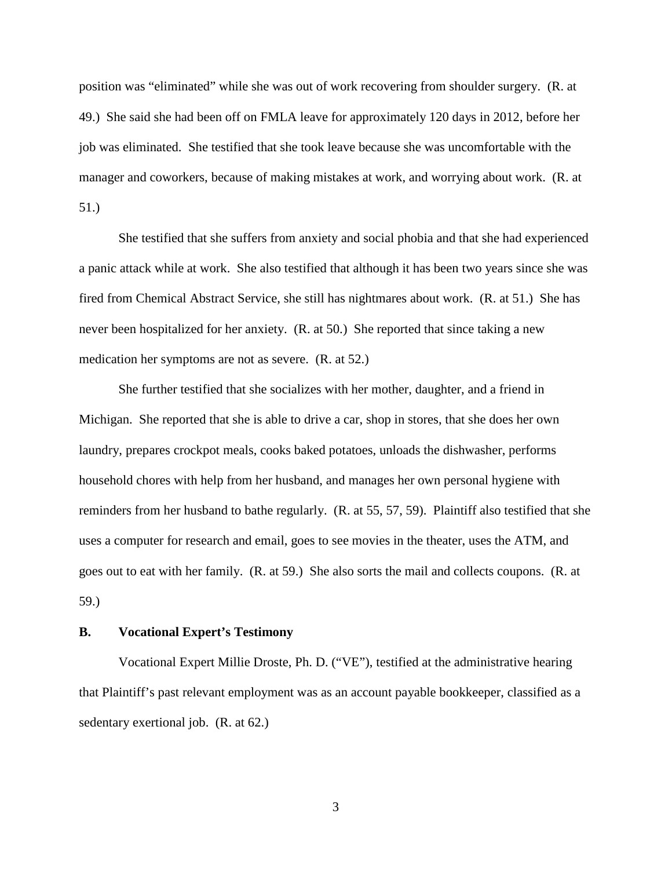position was "eliminated" while she was out of work recovering from shoulder surgery. (R. at 49.) She said she had been off on FMLA leave for approximately 120 days in 2012, before her job was eliminated. She testified that she took leave because she was uncomfortable with the manager and coworkers, because of making mistakes at work, and worrying about work. (R. at 51.)

She testified that she suffers from anxiety and social phobia and that she had experienced a panic attack while at work. She also testified that although it has been two years since she was fired from Chemical Abstract Service, she still has nightmares about work. (R. at 51.) She has never been hospitalized for her anxiety. (R. at 50.) She reported that since taking a new medication her symptoms are not as severe. (R. at 52.)

She further testified that she socializes with her mother, daughter, and a friend in Michigan. She reported that she is able to drive a car, shop in stores, that she does her own laundry, prepares crockpot meals, cooks baked potatoes, unloads the dishwasher, performs household chores with help from her husband, and manages her own personal hygiene with reminders from her husband to bathe regularly. (R. at 55, 57, 59). Plaintiff also testified that she uses a computer for research and email, goes to see movies in the theater, uses the ATM, and goes out to eat with her family. (R. at 59.) She also sorts the mail and collects coupons. (R. at 59.)

### **B. Vocational Expert's Testimony**

Vocational Expert Millie Droste, Ph. D. ("VE"), testified at the administrative hearing that Plaintiff's past relevant employment was as an account payable bookkeeper, classified as a sedentary exertional job. (R. at 62.)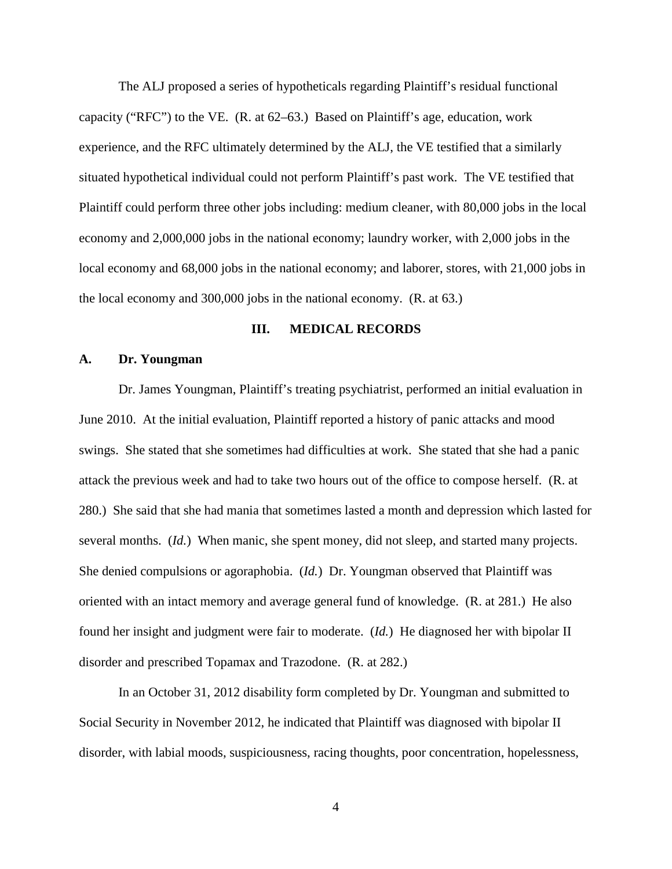The ALJ proposed a series of hypotheticals regarding Plaintiff's residual functional capacity ("RFC") to the VE. (R. at 62–63.) Based on Plaintiff's age, education, work experience, and the RFC ultimately determined by the ALJ, the VE testified that a similarly situated hypothetical individual could not perform Plaintiff's past work. The VE testified that Plaintiff could perform three other jobs including: medium cleaner, with 80,000 jobs in the local economy and 2,000,000 jobs in the national economy; laundry worker, with 2,000 jobs in the local economy and 68,000 jobs in the national economy; and laborer, stores, with 21,000 jobs in the local economy and 300,000 jobs in the national economy. (R. at 63.)

## **III. MEDICAL RECORDS**

## **A. Dr. Youngman**

Dr. James Youngman, Plaintiff's treating psychiatrist, performed an initial evaluation in June 2010. At the initial evaluation, Plaintiff reported a history of panic attacks and mood swings. She stated that she sometimes had difficulties at work. She stated that she had a panic attack the previous week and had to take two hours out of the office to compose herself. (R. at 280.) She said that she had mania that sometimes lasted a month and depression which lasted for several months. (*Id.*) When manic, she spent money, did not sleep, and started many projects. She denied compulsions or agoraphobia. (*Id.*) Dr. Youngman observed that Plaintiff was oriented with an intact memory and average general fund of knowledge. (R. at 281.) He also found her insight and judgment were fair to moderate. (*Id.*) He diagnosed her with bipolar II disorder and prescribed Topamax and Trazodone. (R. at 282.)

In an October 31, 2012 disability form completed by Dr. Youngman and submitted to Social Security in November 2012, he indicated that Plaintiff was diagnosed with bipolar II disorder, with labial moods, suspiciousness, racing thoughts, poor concentration, hopelessness,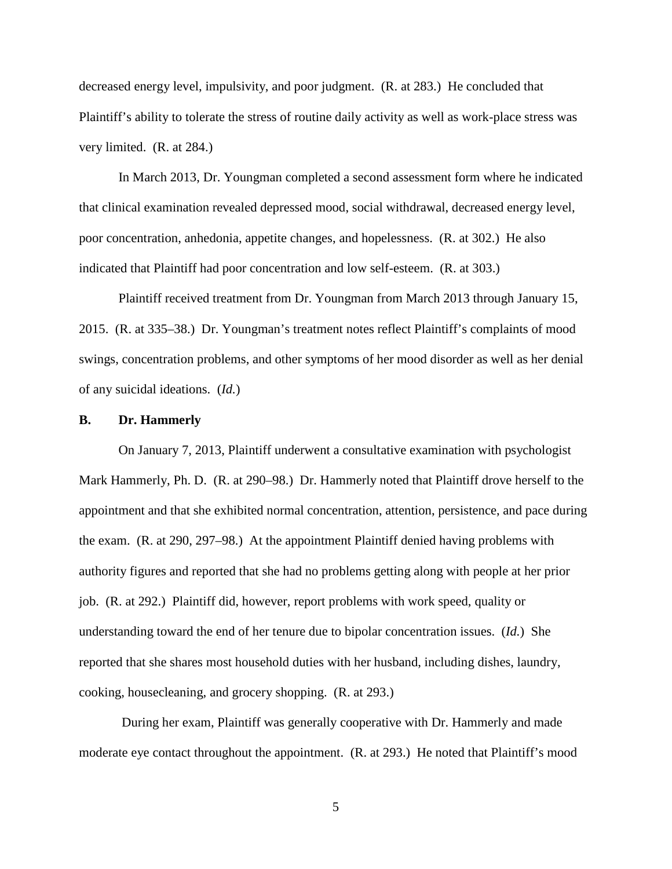decreased energy level, impulsivity, and poor judgment. (R. at 283.) He concluded that Plaintiff's ability to tolerate the stress of routine daily activity as well as work-place stress was very limited. (R. at 284.)

In March 2013, Dr. Youngman completed a second assessment form where he indicated that clinical examination revealed depressed mood, social withdrawal, decreased energy level, poor concentration, anhedonia, appetite changes, and hopelessness. (R. at 302.) He also indicated that Plaintiff had poor concentration and low self-esteem. (R. at 303.)

Plaintiff received treatment from Dr. Youngman from March 2013 through January 15, 2015. (R. at 335–38.) Dr. Youngman's treatment notes reflect Plaintiff's complaints of mood swings, concentration problems, and other symptoms of her mood disorder as well as her denial of any suicidal ideations. (*Id.*)

### **B. Dr. Hammerly**

On January 7, 2013, Plaintiff underwent a consultative examination with psychologist Mark Hammerly, Ph. D. (R. at 290–98.) Dr. Hammerly noted that Plaintiff drove herself to the appointment and that she exhibited normal concentration, attention, persistence, and pace during the exam. (R. at 290, 297–98.) At the appointment Plaintiff denied having problems with authority figures and reported that she had no problems getting along with people at her prior job. (R. at 292.) Plaintiff did, however, report problems with work speed, quality or understanding toward the end of her tenure due to bipolar concentration issues. (*Id.*) She reported that she shares most household duties with her husband, including dishes, laundry, cooking, housecleaning, and grocery shopping. (R. at 293.)

During her exam, Plaintiff was generally cooperative with Dr. Hammerly and made moderate eye contact throughout the appointment. (R. at 293.) He noted that Plaintiff's mood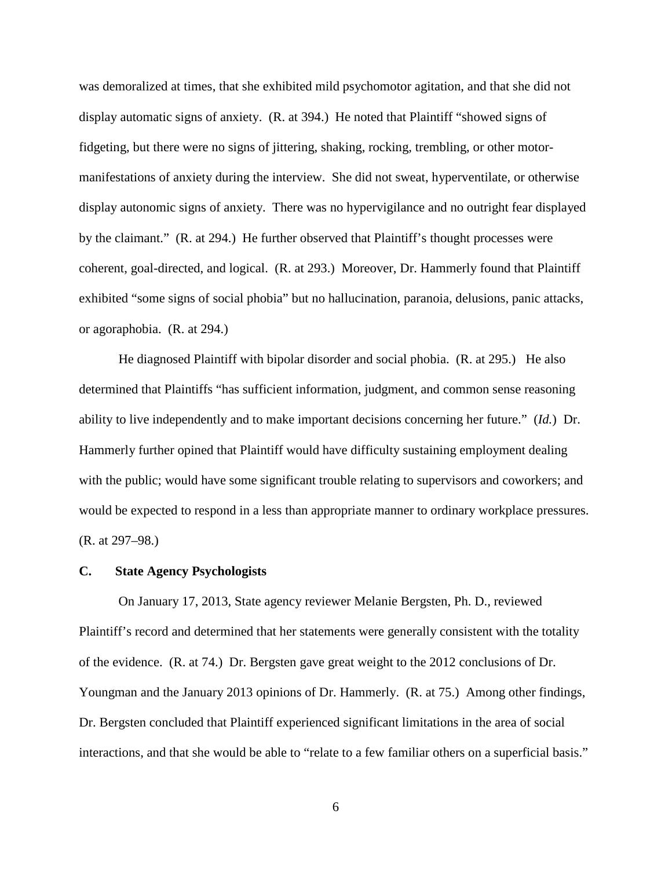was demoralized at times, that she exhibited mild psychomotor agitation, and that she did not display automatic signs of anxiety. (R. at 394.) He noted that Plaintiff "showed signs of fidgeting, but there were no signs of jittering, shaking, rocking, trembling, or other motormanifestations of anxiety during the interview. She did not sweat, hyperventilate, or otherwise display autonomic signs of anxiety. There was no hypervigilance and no outright fear displayed by the claimant." (R. at 294.) He further observed that Plaintiff's thought processes were coherent, goal-directed, and logical. (R. at 293.) Moreover, Dr. Hammerly found that Plaintiff exhibited "some signs of social phobia" but no hallucination, paranoia, delusions, panic attacks, or agoraphobia. (R. at 294.)

He diagnosed Plaintiff with bipolar disorder and social phobia. (R. at 295.) He also determined that Plaintiffs "has sufficient information, judgment, and common sense reasoning ability to live independently and to make important decisions concerning her future." (*Id.*) Dr. Hammerly further opined that Plaintiff would have difficulty sustaining employment dealing with the public; would have some significant trouble relating to supervisors and coworkers; and would be expected to respond in a less than appropriate manner to ordinary workplace pressures. (R. at 297–98.)

#### **C. State Agency Psychologists**

On January 17, 2013, State agency reviewer Melanie Bergsten, Ph. D., reviewed Plaintiff's record and determined that her statements were generally consistent with the totality of the evidence. (R. at 74.) Dr. Bergsten gave great weight to the 2012 conclusions of Dr. Youngman and the January 2013 opinions of Dr. Hammerly. (R. at 75.) Among other findings, Dr. Bergsten concluded that Plaintiff experienced significant limitations in the area of social interactions, and that she would be able to "relate to a few familiar others on a superficial basis."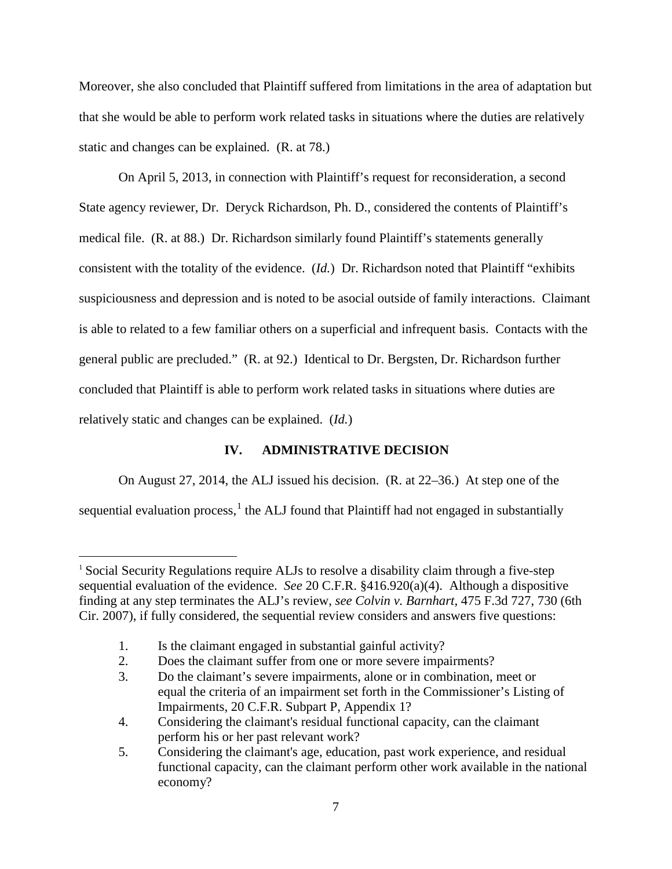Moreover, she also concluded that Plaintiff suffered from limitations in the area of adaptation but that she would be able to perform work related tasks in situations where the duties are relatively static and changes can be explained. (R. at 78.)

 On April 5, 2013, in connection with Plaintiff's request for reconsideration, a second State agency reviewer, Dr. Deryck Richardson, Ph. D., considered the contents of Plaintiff's medical file. (R. at 88.) Dr. Richardson similarly found Plaintiff's statements generally consistent with the totality of the evidence. (*Id.*) Dr. Richardson noted that Plaintiff "exhibits suspiciousness and depression and is noted to be asocial outside of family interactions. Claimant is able to related to a few familiar others on a superficial and infrequent basis. Contacts with the general public are precluded." (R. at 92.) Identical to Dr. Bergsten, Dr. Richardson further concluded that Plaintiff is able to perform work related tasks in situations where duties are relatively static and changes can be explained. (*Id.*)

# **IV. ADMINISTRATIVE DECISION**

On August 27, 2014, the ALJ issued his decision. (R. at 22–36.) At step one of the sequential evaluation process,  $1$  the ALJ found that Plaintiff had not engaged in substantially

<span id="page-6-0"></span> $\overline{a}$ <sup>1</sup> Social Security Regulations require ALJs to resolve a disability claim through a five-step sequential evaluation of the evidence. *See* 20 C.F.R. §416.920(a)(4). Although a dispositive finding at any step terminates the ALJ's review, *see Colvin v. Barnhart*, 475 F.3d 727, 730 (6th Cir. 2007), if fully considered, the sequential review considers and answers five questions:

 <sup>1.</sup> Is the claimant engaged in substantial gainful activity?

 <sup>2.</sup> Does the claimant suffer from one or more severe impairments?

 <sup>3.</sup> Do the claimant's severe impairments, alone or in combination, meet or equal the criteria of an impairment set forth in the Commissioner's Listing of Impairments, 20 C.F.R. Subpart P, Appendix 1?

 <sup>4.</sup> Considering the claimant's residual functional capacity, can the claimant perform his or her past relevant work?

 <sup>5.</sup> Considering the claimant's age, education, past work experience, and residual functional capacity, can the claimant perform other work available in the national economy?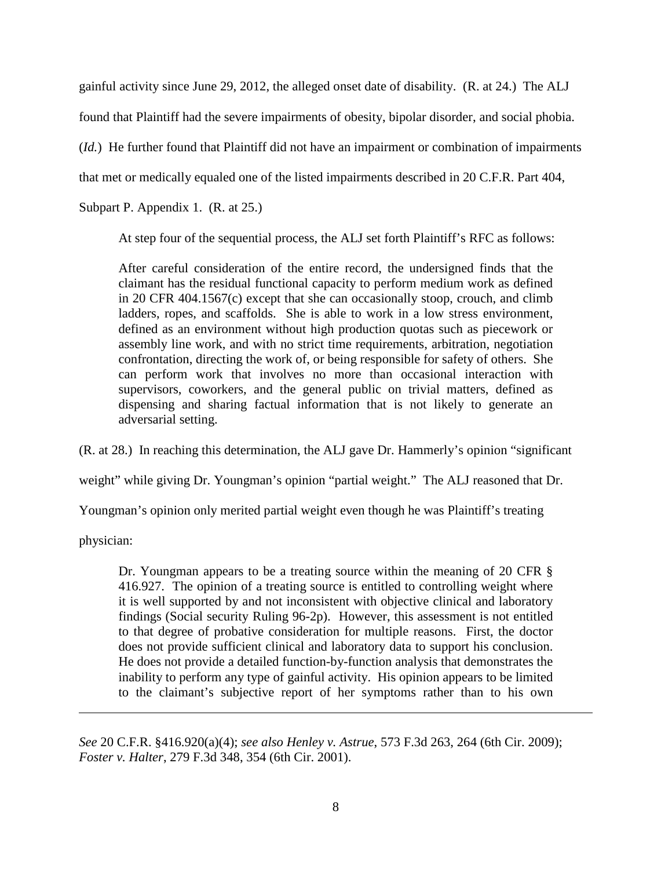gainful activity since June 29, 2012, the alleged onset date of disability. (R. at 24.) The ALJ

found that Plaintiff had the severe impairments of obesity, bipolar disorder, and social phobia.

(*Id.*) He further found that Plaintiff did not have an impairment or combination of impairments

that met or medically equaled one of the listed impairments described in 20 C.F.R. Part 404,

Subpart P. Appendix 1. (R. at 25.)

At step four of the sequential process, the ALJ set forth Plaintiff's RFC as follows:

After careful consideration of the entire record, the undersigned finds that the claimant has the residual functional capacity to perform medium work as defined in 20 CFR 404.1567(c) except that she can occasionally stoop, crouch, and climb ladders, ropes, and scaffolds. She is able to work in a low stress environment, defined as an environment without high production quotas such as piecework or assembly line work, and with no strict time requirements, arbitration, negotiation confrontation, directing the work of, or being responsible for safety of others. She can perform work that involves no more than occasional interaction with supervisors, coworkers, and the general public on trivial matters, defined as dispensing and sharing factual information that is not likely to generate an adversarial setting.

(R. at 28.) In reaching this determination, the ALJ gave Dr. Hammerly's opinion "significant

weight" while giving Dr. Youngman's opinion "partial weight." The ALJ reasoned that Dr.

Youngman's opinion only merited partial weight even though he was Plaintiff's treating

physician:

 $\overline{a}$ 

Dr. Youngman appears to be a treating source within the meaning of 20 CFR § 416.927. The opinion of a treating source is entitled to controlling weight where it is well supported by and not inconsistent with objective clinical and laboratory findings (Social security Ruling 96-2p). However, this assessment is not entitled to that degree of probative consideration for multiple reasons. First, the doctor does not provide sufficient clinical and laboratory data to support his conclusion. He does not provide a detailed function-by-function analysis that demonstrates the inability to perform any type of gainful activity. His opinion appears to be limited to the claimant's subjective report of her symptoms rather than to his own

*See* 20 C.F.R. §416.920(a)(4); *see also Henley v. Astrue*, 573 F.3d 263, 264 (6th Cir. 2009); *Foster v. Halter*, 279 F.3d 348, 354 (6th Cir. 2001).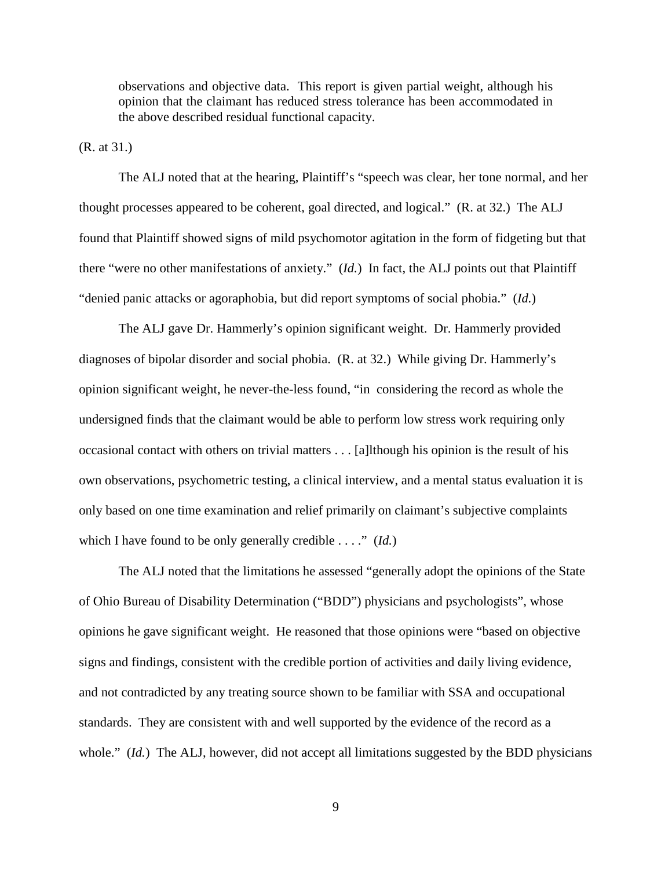observations and objective data. This report is given partial weight, although his opinion that the claimant has reduced stress tolerance has been accommodated in the above described residual functional capacity.

(R. at 31.)

The ALJ noted that at the hearing, Plaintiff's "speech was clear, her tone normal, and her thought processes appeared to be coherent, goal directed, and logical." (R. at 32.) The ALJ found that Plaintiff showed signs of mild psychomotor agitation in the form of fidgeting but that there "were no other manifestations of anxiety." (*Id.*) In fact, the ALJ points out that Plaintiff "denied panic attacks or agoraphobia, but did report symptoms of social phobia." (*Id.*)

The ALJ gave Dr. Hammerly's opinion significant weight. Dr. Hammerly provided diagnoses of bipolar disorder and social phobia. (R. at 32.) While giving Dr. Hammerly's opinion significant weight, he never-the-less found, "in considering the record as whole the undersigned finds that the claimant would be able to perform low stress work requiring only occasional contact with others on trivial matters . . . [a]lthough his opinion is the result of his own observations, psychometric testing, a clinical interview, and a mental status evaluation it is only based on one time examination and relief primarily on claimant's subjective complaints which I have found to be only generally credible . . . ." (*Id.*)

The ALJ noted that the limitations he assessed "generally adopt the opinions of the State of Ohio Bureau of Disability Determination ("BDD") physicians and psychologists", whose opinions he gave significant weight. He reasoned that those opinions were "based on objective signs and findings, consistent with the credible portion of activities and daily living evidence, and not contradicted by any treating source shown to be familiar with SSA and occupational standards. They are consistent with and well supported by the evidence of the record as a whole." *(Id.)* The ALJ, however, did not accept all limitations suggested by the BDD physicians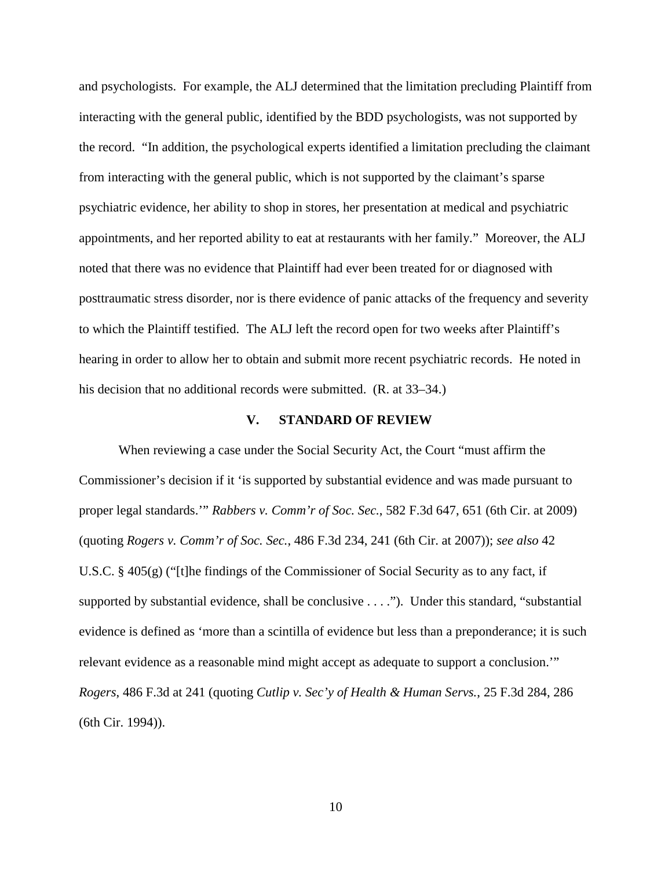and psychologists. For example, the ALJ determined that the limitation precluding Plaintiff from interacting with the general public, identified by the BDD psychologists, was not supported by the record. "In addition, the psychological experts identified a limitation precluding the claimant from interacting with the general public, which is not supported by the claimant's sparse psychiatric evidence, her ability to shop in stores, her presentation at medical and psychiatric appointments, and her reported ability to eat at restaurants with her family." Moreover, the ALJ noted that there was no evidence that Plaintiff had ever been treated for or diagnosed with posttraumatic stress disorder, nor is there evidence of panic attacks of the frequency and severity to which the Plaintiff testified. The ALJ left the record open for two weeks after Plaintiff's hearing in order to allow her to obtain and submit more recent psychiatric records. He noted in his decision that no additional records were submitted. (R. at 33–34.)

#### **V. STANDARD OF REVIEW**

When reviewing a case under the Social Security Act, the Court "must affirm the Commissioner's decision if it 'is supported by substantial evidence and was made pursuant to proper legal standards.'" *Rabbers v. Comm'r of Soc. Sec.*, 582 F.3d 647, 651 (6th Cir. at 2009) (quoting *Rogers v. Comm'r of Soc. Sec.*, 486 F.3d 234, 241 (6th Cir. at 2007)); *see also* 42 U.S.C. § 405(g) ("[t]he findings of the Commissioner of Social Security as to any fact, if supported by substantial evidence, shall be conclusive . . . ."). Under this standard, "substantial evidence is defined as 'more than a scintilla of evidence but less than a preponderance; it is such relevant evidence as a reasonable mind might accept as adequate to support a conclusion.'" *Rogers*, 486 F.3d at 241 (quoting *Cutlip v. Sec'y of Health & Human Servs.*, 25 F.3d 284, 286 (6th Cir. 1994)).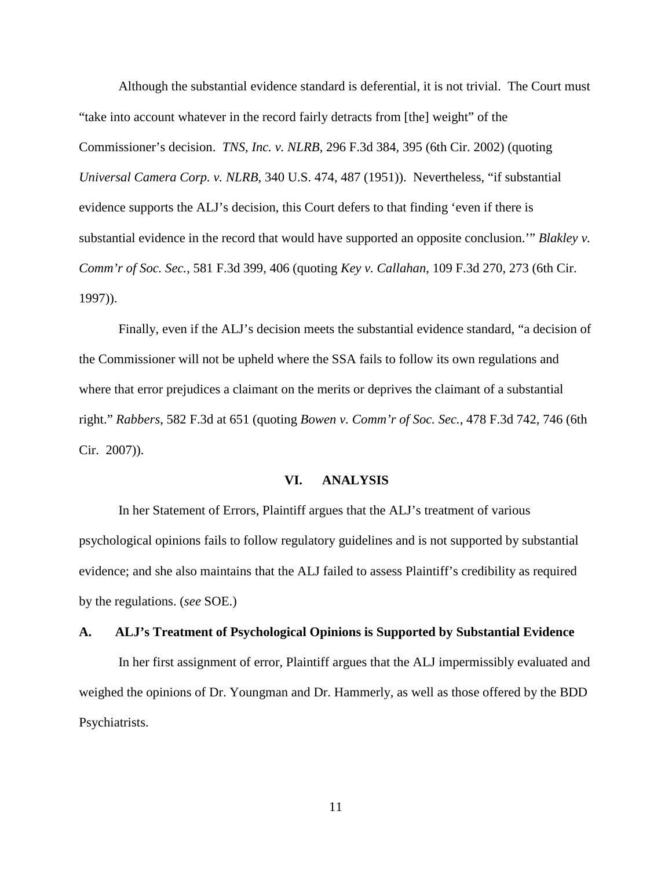Although the substantial evidence standard is deferential, it is not trivial. The Court must "take into account whatever in the record fairly detracts from [the] weight" of the Commissioner's decision. *TNS, Inc. v. NLRB*, 296 F.3d 384, 395 (6th Cir. 2002) (quoting *Universal Camera Corp. v. NLRB*, 340 U.S. 474, 487 (1951)). Nevertheless, "if substantial evidence supports the ALJ's decision, this Court defers to that finding 'even if there is substantial evidence in the record that would have supported an opposite conclusion.'" *Blakley v. Comm'r of Soc. Sec.*, 581 F.3d 399, 406 (quoting *Key v. Callahan*, 109 F.3d 270, 273 (6th Cir. 1997)).

Finally, even if the ALJ's decision meets the substantial evidence standard, "a decision of the Commissioner will not be upheld where the SSA fails to follow its own regulations and where that error prejudices a claimant on the merits or deprives the claimant of a substantial right." *Rabbers*, 582 F.3d at 651 (quoting *Bowen v. Comm'r of Soc. Sec.*, 478 F.3d 742, 746 (6th Cir. 2007)).

### **VI. ANALYSIS**

In her Statement of Errors, Plaintiff argues that the ALJ's treatment of various psychological opinions fails to follow regulatory guidelines and is not supported by substantial evidence; and she also maintains that the ALJ failed to assess Plaintiff's credibility as required by the regulations. (*see* SOE.)

#### **A. ALJ's Treatment of Psychological Opinions is Supported by Substantial Evidence**

In her first assignment of error, Plaintiff argues that the ALJ impermissibly evaluated and weighed the opinions of Dr. Youngman and Dr. Hammerly, as well as those offered by the BDD Psychiatrists.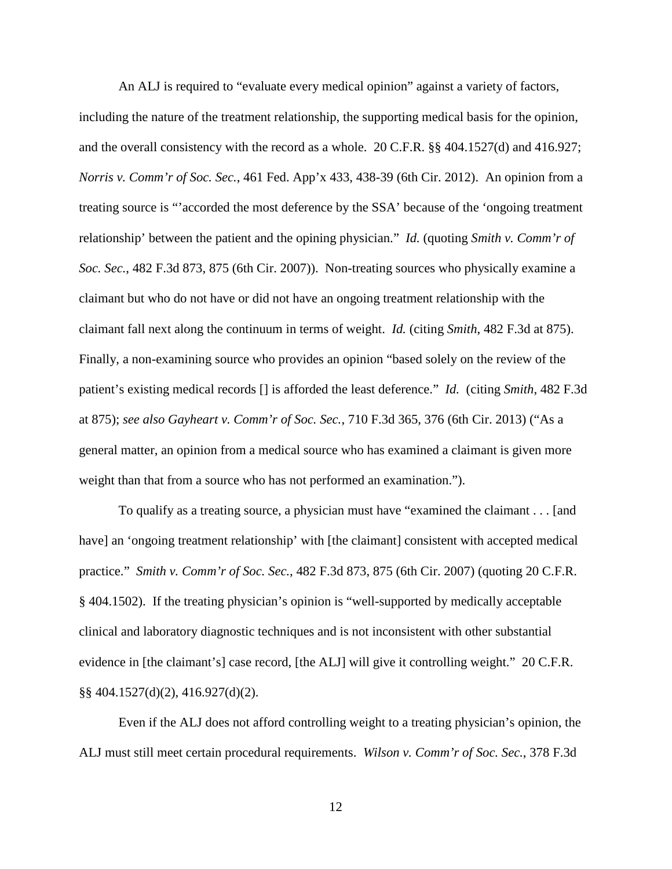An ALJ is required to "evaluate every medical opinion" against a variety of factors,

including the nature of the treatment relationship, the supporting medical basis for the opinion, and the overall consistency with the record as a whole. 20 C.F.R.  $\S$  404.1527(d) and 416.927; *Norris v. Comm'r of Soc. Sec.*, 461 Fed. App'x 433, 438-39 (6th Cir. 2012). An opinion from a treating source is "'accorded the most deference by the SSA' because of the 'ongoing treatment relationship' between the patient and the opining physician." *Id.* (quoting *Smith v. Comm'r of Soc. Sec.*, 482 F.3d 873, 875 (6th Cir. 2007)). Non-treating sources who physically examine a claimant but who do not have or did not have an ongoing treatment relationship with the claimant fall next along the continuum in terms of weight. *Id.* (citing *Smith*, 482 F.3d at 875). Finally, a non-examining source who provides an opinion "based solely on the review of the patient's existing medical records [] is afforded the least deference." *Id.* (citing *Smith*, 482 F.3d at 875); *see also Gayheart v. Comm'r of Soc. Sec.*, 710 F.3d 365, 376 (6th Cir. 2013) ("As a general matter, an opinion from a medical source who has examined a claimant is given more weight than that from a source who has not performed an examination.").

To qualify as a treating source, a physician must have "examined the claimant . . . [and have] an 'ongoing treatment relationship' with [the claimant] consistent with accepted medical practice." *Smith v. Comm'r of Soc. Sec.*, 482 F.3d 873, 875 (6th Cir. 2007) (quoting 20 C.F.R. § 404.1502). If the treating physician's opinion is "well-supported by medically acceptable clinical and laboratory diagnostic techniques and is not inconsistent with other substantial evidence in [the claimant's] case record, [the ALJ] will give it controlling weight." 20 C.F.R. §§ 404.1527(d)(2), 416.927(d)(2).

 Even if the ALJ does not afford controlling weight to a treating physician's opinion, the ALJ must still meet certain procedural requirements. *Wilson v. Comm'r of Soc. Sec.*, 378 F.3d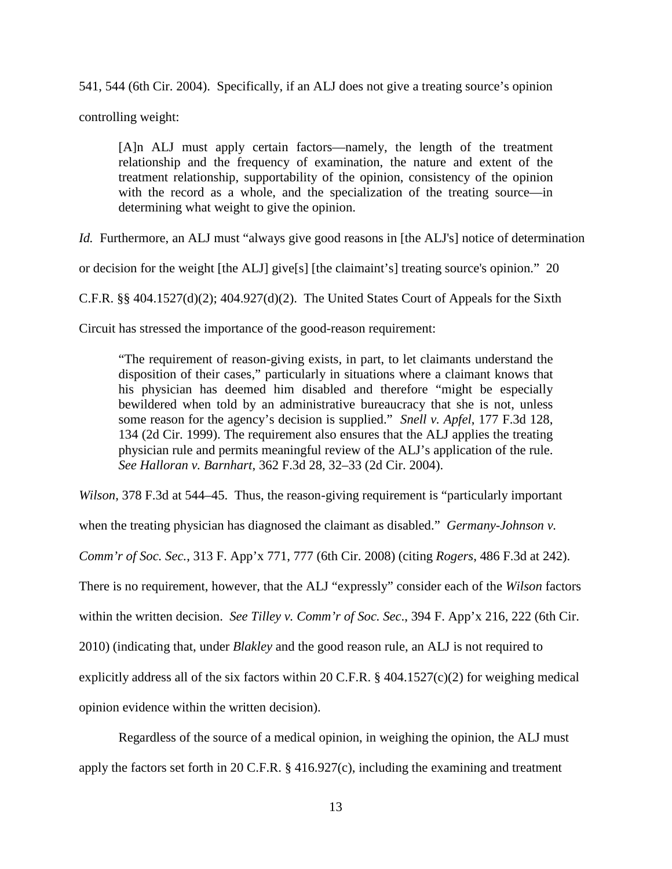541, 544 (6th Cir. 2004). Specifically, if an ALJ does not give a treating source's opinion

controlling weight:

[A]n ALJ must apply certain factors—namely, the length of the treatment relationship and the frequency of examination, the nature and extent of the treatment relationship, supportability of the opinion, consistency of the opinion with the record as a whole, and the specialization of the treating source—in determining what weight to give the opinion.

*Id.* Furthermore, an ALJ must "always give good reasons in [the ALJ's] notice of determination

or decision for the weight [the ALJ] give[s] [the claimaint's] treating source's opinion." 20

C.F.R. §§ 404.1527(d)(2); 404.927(d)(2). The United States Court of Appeals for the Sixth

Circuit has stressed the importance of the good-reason requirement:

"The requirement of reason-giving exists, in part, to let claimants understand the disposition of their cases," particularly in situations where a claimant knows that his physician has deemed him disabled and therefore "might be especially bewildered when told by an administrative bureaucracy that she is not, unless some reason for the agency's decision is supplied." *Snell v. Apfel*, 177 F.3d 128, 134 (2d Cir. 1999). The requirement also ensures that the ALJ applies the treating physician rule and permits meaningful review of the ALJ's application of the rule. *See Halloran v. Barnhart*, 362 F.3d 28, 32–33 (2d Cir. 2004).

*Wilson*, 378 F.3d at 544–45. Thus, the reason-giving requirement is "particularly important

when the treating physician has diagnosed the claimant as disabled." *Germany-Johnson v.* 

*Comm'r of Soc. Sec.*, 313 F. App'x 771, 777 (6th Cir. 2008) (citing *Rogers*, 486 F.3d at 242).

There is no requirement, however, that the ALJ "expressly" consider each of the *Wilson* factors

within the written decision. *See Tilley v. Comm'r of Soc. Sec*., 394 F. App'x 216, 222 (6th Cir.

2010) (indicating that, under *Blakley* and the good reason rule, an ALJ is not required to

explicitly address all of the six factors within 20 C.F.R.  $\S$  404.1527(c)(2) for weighing medical

opinion evidence within the written decision).

 Regardless of the source of a medical opinion, in weighing the opinion, the ALJ must apply the factors set forth in 20 C.F.R. § 416.927(c), including the examining and treatment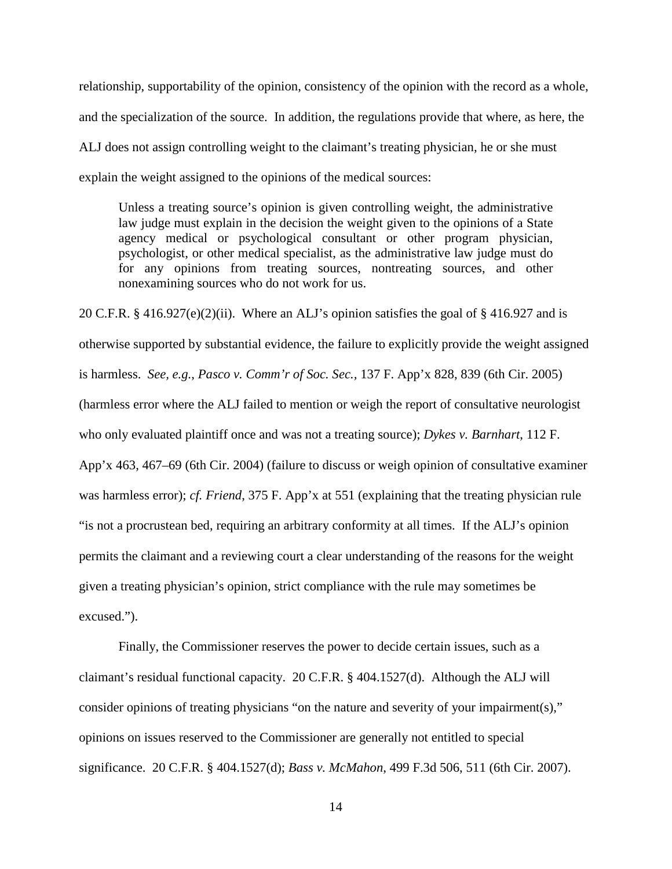relationship, supportability of the opinion, consistency of the opinion with the record as a whole, and the specialization of the source. In addition, the regulations provide that where, as here, the ALJ does not assign controlling weight to the claimant's treating physician, he or she must explain the weight assigned to the opinions of the medical sources:

Unless a treating source's opinion is given controlling weight, the administrative law judge must explain in the decision the weight given to the opinions of a State agency medical or psychological consultant or other program physician, psychologist, or other medical specialist, as the administrative law judge must do for any opinions from treating sources, nontreating sources, and other nonexamining sources who do not work for us.

20 C.F.R.  $\S$  416.927(e)(2)(ii). Where an ALJ's opinion satisfies the goal of  $\S$  416.927 and is otherwise supported by substantial evidence, the failure to explicitly provide the weight assigned is harmless. *See, e.g.*, *Pasco v. Comm'r of Soc. Sec.,* 137 F. App'x 828, 839 (6th Cir. 2005) (harmless error where the ALJ failed to mention or weigh the report of consultative neurologist who only evaluated plaintiff once and was not a treating source); *Dykes v. Barnhart*, 112 F. App'x 463, 467–69 (6th Cir. 2004) (failure to discuss or weigh opinion of consultative examiner was harmless error); *cf. Friend*, 375 F. App'x at 551 (explaining that the treating physician rule "is not a procrustean bed, requiring an arbitrary conformity at all times. If the ALJ's opinion permits the claimant and a reviewing court a clear understanding of the reasons for the weight given a treating physician's opinion, strict compliance with the rule may sometimes be excused.").

Finally, the Commissioner reserves the power to decide certain issues, such as a claimant's residual functional capacity. 20 C.F.R. § 404.1527(d). Although the ALJ will consider opinions of treating physicians "on the nature and severity of your impairment(s)," opinions on issues reserved to the Commissioner are generally not entitled to special significance. 20 C.F.R. § 404.1527(d); *Bass v. McMahon*, 499 F.3d 506, 511 (6th Cir. 2007).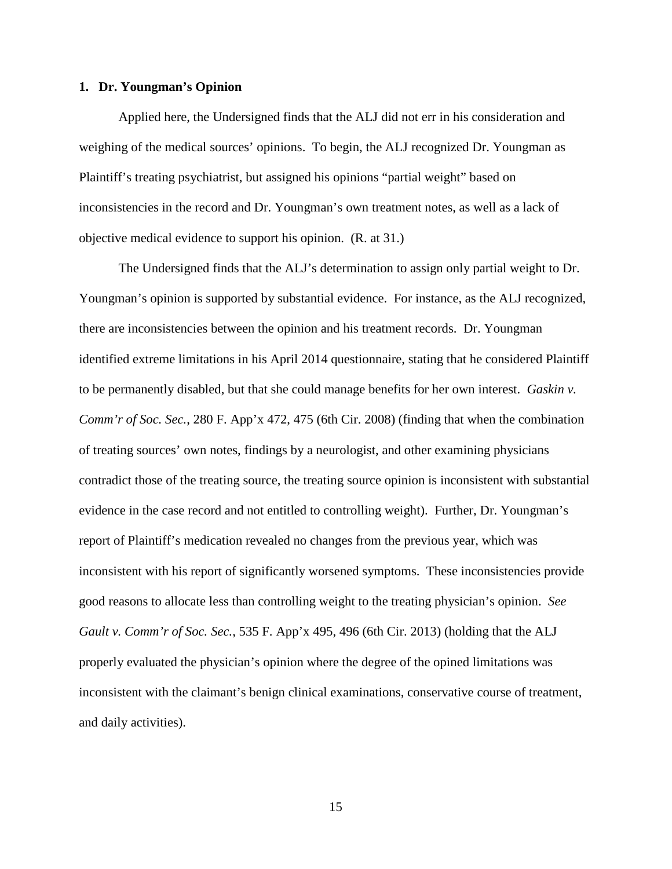### **1. Dr. Youngman's Opinion**

 Applied here, the Undersigned finds that the ALJ did not err in his consideration and weighing of the medical sources' opinions. To begin, the ALJ recognized Dr. Youngman as Plaintiff's treating psychiatrist, but assigned his opinions "partial weight" based on inconsistencies in the record and Dr. Youngman's own treatment notes, as well as a lack of objective medical evidence to support his opinion. (R. at 31.)

 The Undersigned finds that the ALJ's determination to assign only partial weight to Dr. Youngman's opinion is supported by substantial evidence. For instance, as the ALJ recognized, there are inconsistencies between the opinion and his treatment records. Dr. Youngman identified extreme limitations in his April 2014 questionnaire, stating that he considered Plaintiff to be permanently disabled, but that she could manage benefits for her own interest. *Gaskin v. Comm'r of Soc. Sec.*, 280 F. App'x 472, 475 (6th Cir. 2008) (finding that when the combination of treating sources' own notes, findings by a neurologist, and other examining physicians contradict those of the treating source, the treating source opinion is inconsistent with substantial evidence in the case record and not entitled to controlling weight). Further, Dr. Youngman's report of Plaintiff's medication revealed no changes from the previous year, which was inconsistent with his report of significantly worsened symptoms. These inconsistencies provide good reasons to allocate less than controlling weight to the treating physician's opinion. *See Gault v. Comm'r of Soc. Sec.*, 535 F. App'x 495, 496 (6th Cir. 2013) (holding that the ALJ properly evaluated the physician's opinion where the degree of the opined limitations was inconsistent with the claimant's benign clinical examinations, conservative course of treatment, and daily activities).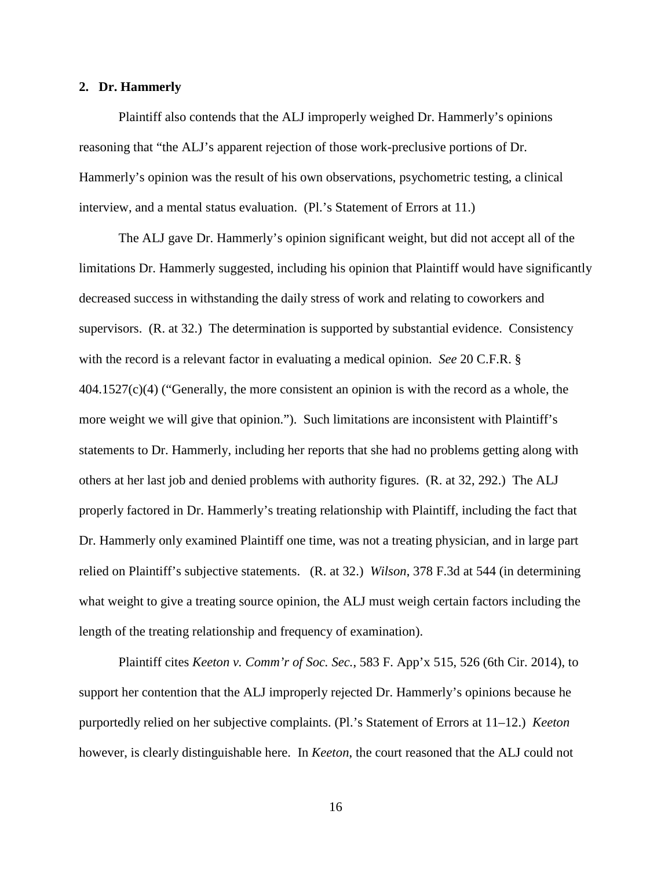### **2. Dr. Hammerly**

 Plaintiff also contends that the ALJ improperly weighed Dr. Hammerly's opinions reasoning that "the ALJ's apparent rejection of those work-preclusive portions of Dr. Hammerly's opinion was the result of his own observations, psychometric testing, a clinical interview, and a mental status evaluation. (Pl.'s Statement of Errors at 11.)

 The ALJ gave Dr. Hammerly's opinion significant weight, but did not accept all of the limitations Dr. Hammerly suggested, including his opinion that Plaintiff would have significantly decreased success in withstanding the daily stress of work and relating to coworkers and supervisors. (R. at 32.) The determination is supported by substantial evidence. Consistency with the record is a relevant factor in evaluating a medical opinion. *See* 20 C.F.R. § 404.1527(c)(4) ("Generally, the more consistent an opinion is with the record as a whole, the more weight we will give that opinion."). Such limitations are inconsistent with Plaintiff's statements to Dr. Hammerly, including her reports that she had no problems getting along with others at her last job and denied problems with authority figures. (R. at 32, 292.) The ALJ properly factored in Dr. Hammerly's treating relationship with Plaintiff, including the fact that Dr. Hammerly only examined Plaintiff one time, was not a treating physician, and in large part relied on Plaintiff's subjective statements. (R. at 32.) *Wilson*, 378 F.3d at 544 (in determining what weight to give a treating source opinion, the ALJ must weigh certain factors including the length of the treating relationship and frequency of examination).

Plaintiff cites *Keeton v. Comm'r of Soc. Sec.*, 583 F. App'x 515, 526 (6th Cir. 2014), to support her contention that the ALJ improperly rejected Dr. Hammerly's opinions because he purportedly relied on her subjective complaints. (Pl.'s Statement of Errors at 11–12.) *Keeton* however, is clearly distinguishable here. In *Keeton*, the court reasoned that the ALJ could not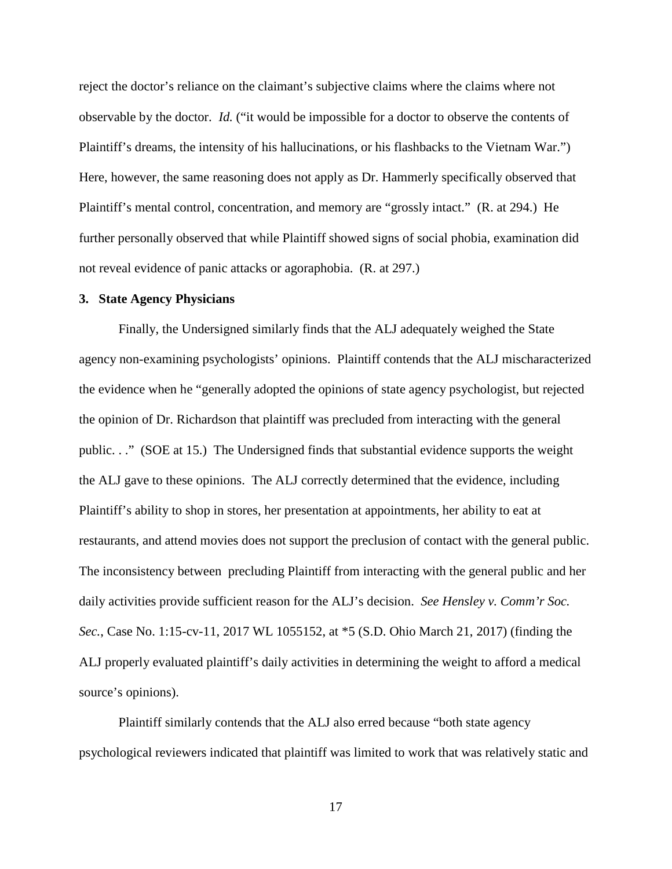reject the doctor's reliance on the claimant's subjective claims where the claims where not observable by the doctor. *Id.* ("it would be impossible for a doctor to observe the contents of Plaintiff's dreams, the intensity of his hallucinations, or his flashbacks to the Vietnam War.") Here, however, the same reasoning does not apply as Dr. Hammerly specifically observed that Plaintiff's mental control, concentration, and memory are "grossly intact." (R. at 294.) He further personally observed that while Plaintiff showed signs of social phobia, examination did not reveal evidence of panic attacks or agoraphobia. (R. at 297.)

### **3. State Agency Physicians**

Finally, the Undersigned similarly finds that the ALJ adequately weighed the State agency non-examining psychologists' opinions. Plaintiff contends that the ALJ mischaracterized the evidence when he "generally adopted the opinions of state agency psychologist, but rejected the opinion of Dr. Richardson that plaintiff was precluded from interacting with the general public. . ." (SOE at 15.) The Undersigned finds that substantial evidence supports the weight the ALJ gave to these opinions. The ALJ correctly determined that the evidence, including Plaintiff's ability to shop in stores, her presentation at appointments, her ability to eat at restaurants, and attend movies does not support the preclusion of contact with the general public. The inconsistency between precluding Plaintiff from interacting with the general public and her daily activities provide sufficient reason for the ALJ's decision. *See Hensley v. Comm'r Soc. Sec.*, Case No. 1:15-cv-11, 2017 WL 1055152, at \*5 (S.D. Ohio March 21, 2017) (finding the ALJ properly evaluated plaintiff's daily activities in determining the weight to afford a medical source's opinions).

Plaintiff similarly contends that the ALJ also erred because "both state agency psychological reviewers indicated that plaintiff was limited to work that was relatively static and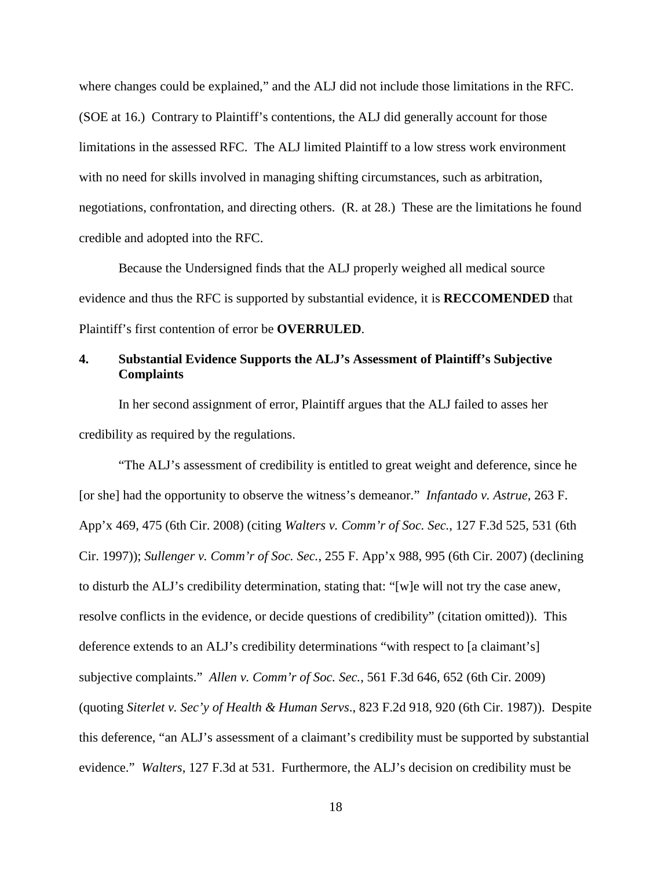where changes could be explained," and the ALJ did not include those limitations in the RFC. (SOE at 16.) Contrary to Plaintiff's contentions, the ALJ did generally account for those limitations in the assessed RFC. The ALJ limited Plaintiff to a low stress work environment with no need for skills involved in managing shifting circumstances, such as arbitration, negotiations, confrontation, and directing others. (R. at 28.) These are the limitations he found credible and adopted into the RFC.

 Because the Undersigned finds that the ALJ properly weighed all medical source evidence and thus the RFC is supported by substantial evidence, it is **RECCOMENDED** that Plaintiff's first contention of error be **OVERRULED**.

# **4. Substantial Evidence Supports the ALJ's Assessment of Plaintiff's Subjective Complaints**

In her second assignment of error, Plaintiff argues that the ALJ failed to asses her credibility as required by the regulations.

"The ALJ's assessment of credibility is entitled to great weight and deference, since he [or she] had the opportunity to observe the witness's demeanor." *Infantado v. Astrue*, 263 F. App'x 469, 475 (6th Cir. 2008) (citing *Walters v. Comm'r of Soc. Sec.*, 127 F.3d 525, 531 (6th Cir. 1997)); *Sullenger v. Comm'r of Soc. Sec.*, 255 F. App'x 988, 995 (6th Cir. 2007) (declining to disturb the ALJ's credibility determination, stating that: "[w]e will not try the case anew, resolve conflicts in the evidence, or decide questions of credibility" (citation omitted)). This deference extends to an ALJ's credibility determinations "with respect to [a claimant's] subjective complaints." *Allen v. Comm'r of Soc. Sec.*, 561 F.3d 646, 652 (6th Cir. 2009) (quoting *Siterlet v. Sec'y of Health & Human Servs*., 823 F.2d 918, 920 (6th Cir. 1987)). Despite this deference, "an ALJ's assessment of a claimant's credibility must be supported by substantial evidence." *Walters*, 127 F.3d at 531. Furthermore, the ALJ's decision on credibility must be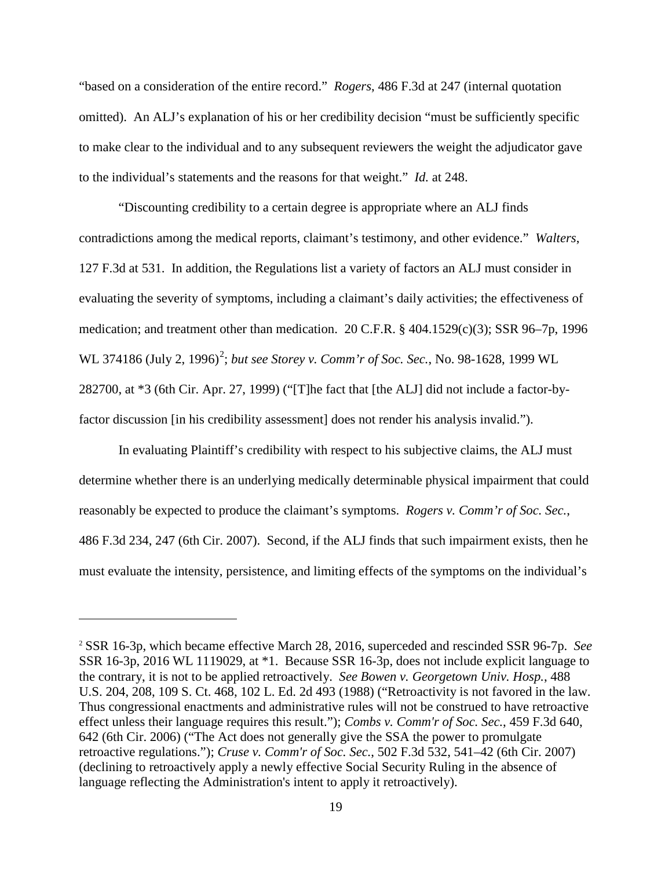"based on a consideration of the entire record." *Rogers*, 486 F.3d at 247 (internal quotation omitted). An ALJ's explanation of his or her credibility decision "must be sufficiently specific to make clear to the individual and to any subsequent reviewers the weight the adjudicator gave to the individual's statements and the reasons for that weight." *Id.* at 248.

"Discounting credibility to a certain degree is appropriate where an ALJ finds contradictions among the medical reports, claimant's testimony, and other evidence." *Walters*, 127 F.3d at 531. In addition, the Regulations list a variety of factors an ALJ must consider in evaluating the severity of symptoms, including a claimant's daily activities; the effectiveness of medication; and treatment other than medication. 20 C.F.R. § 404.1529(c)(3); SSR 96–7p, 1996 WL 374186 (July [2](#page-18-0), 1996)<sup>2</sup>; but see Storey v. Comm'r of Soc. Sec., No. 98-1628, 1999 WL 282700, at \*3 (6th Cir. Apr. 27, 1999) ("[T]he fact that [the ALJ] did not include a factor-byfactor discussion [in his credibility assessment] does not render his analysis invalid.").

In evaluating Plaintiff's credibility with respect to his subjective claims, the ALJ must determine whether there is an underlying medically determinable physical impairment that could reasonably be expected to produce the claimant's symptoms. *Rogers v. Comm'r of Soc. Sec.*, 486 F.3d 234, 247 (6th Cir. 2007). Second, if the ALJ finds that such impairment exists, then he must evaluate the intensity, persistence, and limiting effects of the symptoms on the individual's

-

<span id="page-18-0"></span><sup>2</sup> SSR 16-3p, which became effective March 28, 2016, superceded and rescinded SSR 96-7p. *See*  SSR 16-3p, 2016 WL 1119029, at \*1. Because SSR 16-3p, does not include explicit language to the contrary, it is not to be applied retroactively. *See Bowen v. Georgetown Univ. Hosp.*, 488 U.S. 204, 208, 109 S. Ct. 468, 102 L. Ed. 2d 493 (1988) ("Retroactivity is not favored in the law. Thus congressional enactments and administrative rules will not be construed to have retroactive effect unless their language requires this result."); *Combs v. Comm'r of Soc. Sec.*, 459 F.3d 640, 642 (6th Cir. 2006) ("The Act does not generally give the SSA the power to promulgate retroactive regulations."); *Cruse v. Comm'r of Soc. Sec.*, 502 F.3d 532, 541–42 (6th Cir. 2007) (declining to retroactively apply a newly effective Social Security Ruling in the absence of language reflecting the Administration's intent to apply it retroactively).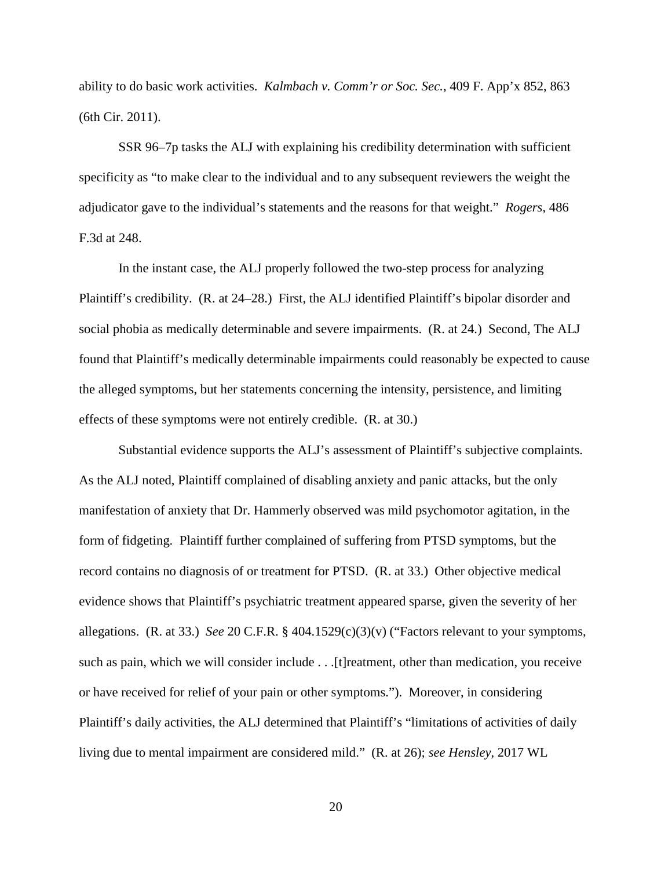ability to do basic work activities. *Kalmbach v. Comm'r or Soc. Sec.*, 409 F. App'x 852, 863 (6th Cir. 2011).

SSR 96–7p tasks the ALJ with explaining his credibility determination with sufficient specificity as "to make clear to the individual and to any subsequent reviewers the weight the adjudicator gave to the individual's statements and the reasons for that weight." *Rogers*, 486 F.3d at 248.

In the instant case, the ALJ properly followed the two-step process for analyzing Plaintiff's credibility. (R. at 24–28.) First, the ALJ identified Plaintiff's bipolar disorder and social phobia as medically determinable and severe impairments. (R. at 24.) Second, The ALJ found that Plaintiff's medically determinable impairments could reasonably be expected to cause the alleged symptoms, but her statements concerning the intensity, persistence, and limiting effects of these symptoms were not entirely credible. (R. at 30.)

Substantial evidence supports the ALJ's assessment of Plaintiff's subjective complaints. As the ALJ noted, Plaintiff complained of disabling anxiety and panic attacks, but the only manifestation of anxiety that Dr. Hammerly observed was mild psychomotor agitation, in the form of fidgeting. Plaintiff further complained of suffering from PTSD symptoms, but the record contains no diagnosis of or treatment for PTSD. (R. at 33.) Other objective medical evidence shows that Plaintiff's psychiatric treatment appeared sparse, given the severity of her allegations. (R. at 33.) *See* 20 C.F.R. § 404.1529(c)(3)(v) ("Factors relevant to your symptoms, such as pain, which we will consider include . . .[t]reatment, other than medication, you receive or have received for relief of your pain or other symptoms."). Moreover, in considering Plaintiff's daily activities, the ALJ determined that Plaintiff's "limitations of activities of daily living due to mental impairment are considered mild." (R. at 26); *see Hensley*, 2017 WL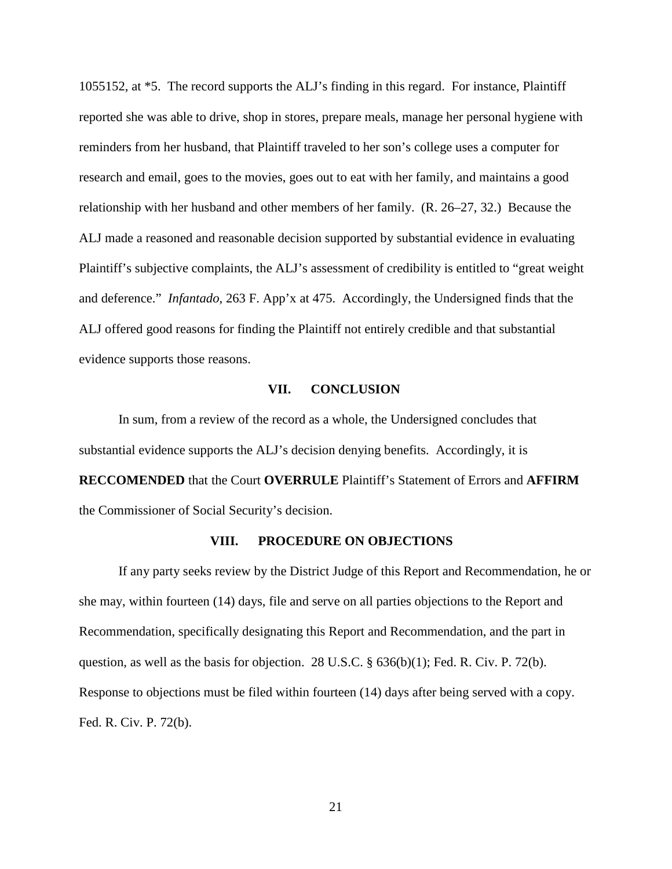1055152, at \*5. The record supports the ALJ's finding in this regard. For instance, Plaintiff reported she was able to drive, shop in stores, prepare meals, manage her personal hygiene with reminders from her husband, that Plaintiff traveled to her son's college uses a computer for research and email, goes to the movies, goes out to eat with her family, and maintains a good relationship with her husband and other members of her family. (R. 26–27, 32.) Because the ALJ made a reasoned and reasonable decision supported by substantial evidence in evaluating Plaintiff's subjective complaints, the ALJ's assessment of credibility is entitled to "great weight and deference." *Infantado*, 263 F. App'x at 475. Accordingly, the Undersigned finds that the ALJ offered good reasons for finding the Plaintiff not entirely credible and that substantial evidence supports those reasons.

### **VII. CONCLUSION**

In sum, from a review of the record as a whole, the Undersigned concludes that substantial evidence supports the ALJ's decision denying benefits. Accordingly, it is **RECCOMENDED** that the Court **OVERRULE** Plaintiff's Statement of Errors and **AFFIRM**  the Commissioner of Social Security's decision.

#### **VIII. PROCEDURE ON OBJECTIONS**

If any party seeks review by the District Judge of this Report and Recommendation, he or she may, within fourteen (14) days, file and serve on all parties objections to the Report and Recommendation, specifically designating this Report and Recommendation, and the part in question, as well as the basis for objection. 28 U.S.C.  $\S$  636(b)(1); Fed. R. Civ. P. 72(b). Response to objections must be filed within fourteen (14) days after being served with a copy. Fed. R. Civ. P. 72(b).